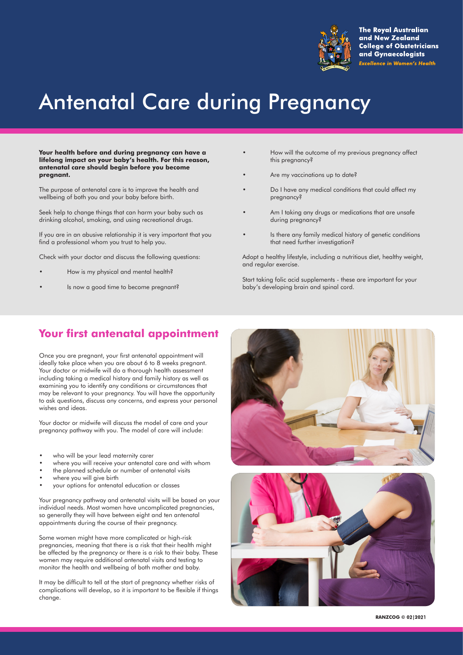

**The Royal Australian** and New Zealand **College of Obstetricians** and Gynaecologists **Excellence in Women's Health** 

# Antenatal Care during Pregnancy

**Your health before and during pregnancy can have a lifelong impact on your baby's health. For this reason, antenatal care should begin before you become pregnant.**

The purpose of antenatal care is to improve the health and wellbeing of both you and your baby before birth.

Seek help to change things that can harm your baby such as drinking alcohol, smoking, and using recreational drugs.

If you are in an abusive relationship it is very important that you find a professional whom you trust to help you.

Check with your doctor and discuss the following questions:

- How is my physical and mental health?
- Is now a good time to become pregnant?
- How will the outcome of my previous pregnancy affect this pregnancy?
- Are my vaccinations up to date?
- Do I have any medical conditions that could affect my pregnancy?
- Am I taking any drugs or medications that are unsafe during pregnancy?
- Is there any family medical history of genetic conditions that need further investigation?

Adopt a healthy lifestyle, including a nutritious diet, healthy weight, and regular exercise.

Start taking folic acid supplements - these are important for your baby's developing brain and spinal cord.

# **Your first antenatal appointment**

Once you are pregnant, your first antenatal appointment will ideally take place when you are about 6 to 8 weeks pregnant. Your doctor or midwife will do a thorough health assessment including taking a medical history and family history as well as examining you to identify any conditions or circumstances that may be relevant to your pregnancy. You will have the opportunity to ask questions, discuss any concerns, and express your personal wishes and ideas.

Your doctor or midwife will discuss the model of care and your pregnancy pathway with you. The model of care will include:

- who will be your lead maternity carer
- where you will receive your antenatal care and with whom
- the planned schedule or number of antenatal visits
- where you will give birth
- your options for antenatal education or classes

Your pregnancy pathway and antenatal visits will be based on your individual needs. Most women have uncomplicated pregnancies, so generally they will have between eight and ten antenatal appointments during the course of their pregnancy.

Some women might have more complicated or high-risk pregnancies, meaning that there is a risk that their health might be affected by the pregnancy or there is a risk to their baby. These women may require additional antenatal visits and testing to monitor the health and wellbeing of both mother and baby.

It may be difficult to tell at the start of pregnancy whether risks of complications will develop, so it is important to be flexible if things change.





**RANZCOG © 0**2**|20**21